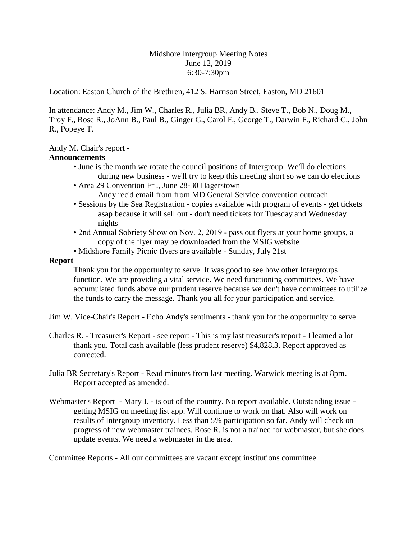Midshore Intergroup Meeting Notes June 12, 2019 6:30-7:30pm

Location: Easton Church of the Brethren, 412 S. Harrison Street, Easton, MD 21601

In attendance: Andy M., Jim W., Charles R., Julia BR, Andy B., Steve T., Bob N., Doug M., Troy F., Rose R., JoAnn B., Paul B., Ginger G., Carol F., George T., Darwin F., Richard C., John R., Popeye T.

# Andy M. Chair's report -

## **Announcements**

- June is the month we rotate the council positions of Intergroup. We'll do elections during new business - we'll try to keep this meeting short so we can do elections
- Area 29 Convention Fri., June 28-30 Hagerstown
	- Andy rec'd email from from MD General Service convention outreach
- Sessions by the Sea Registration copies available with program of events get tickets asap because it will sell out - don't need tickets for Tuesday and Wednesday nights
- 2nd Annual Sobriety Show on Nov. 2, 2019 pass out flyers at your home groups, a copy of the flyer may be downloaded from the MSIG website
- Midshore Family Picnic flyers are available Sunday, July 21st

## **Report**

Thank you for the opportunity to serve. It was good to see how other Intergroups function. We are providing a vital service. We need functioning committees. We have accumulated funds above our prudent reserve because we don't have committees to utilize the funds to carry the message. Thank you all for your participation and service.

- Jim W. Vice-Chair's Report Echo Andy's sentiments thank you for the opportunity to serve
- Charles R. Treasurer's Report see report This is my last treasurer's report I learned a lot thank you. Total cash available (less prudent reserve) \$4,828.3. Report approved as corrected.
- Julia BR Secretary's Report Read minutes from last meeting. Warwick meeting is at 8pm. Report accepted as amended.
- Webmaster's Report Mary J. is out of the country. No report available. Outstanding issue getting MSIG on meeting list app. Will continue to work on that. Also will work on results of Intergroup inventory. Less than 5% participation so far. Andy will check on progress of new webmaster trainees. Rose R. is not a trainee for webmaster, but she does update events. We need a webmaster in the area.

Committee Reports - All our committees are vacant except institutions committee